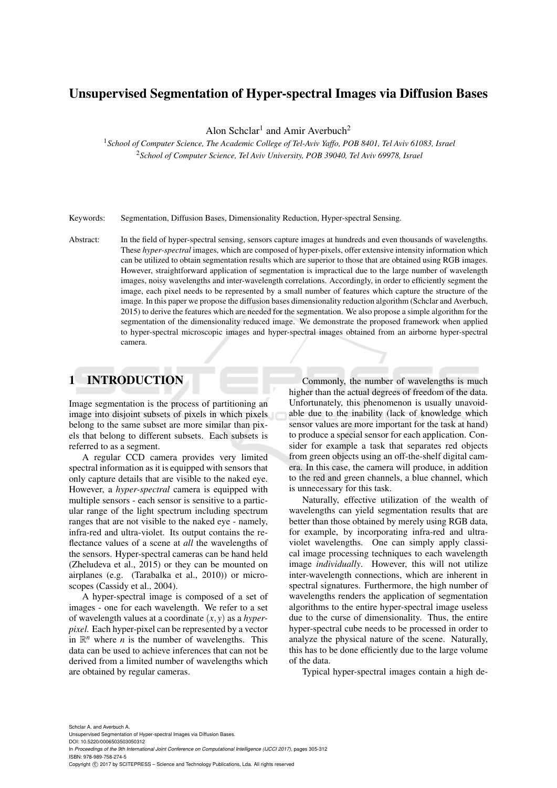# Unsupervised Segmentation of Hyper-spectral Images via Diffusion Bases

Alon Schclar<sup>1</sup> and Amir Averbuch<sup>2</sup>

<sup>1</sup>*School of Computer Science, The Academic College of Tel-Aviv Yaffo, POB 8401, Tel Aviv 61083, Israel* <sup>2</sup>*School of Computer Science, Tel Aviv University, POB 39040, Tel Aviv 69978, Israel*

Keywords: Segmentation, Diffusion Bases, Dimensionality Reduction, Hyper-spectral Sensing.

Abstract: In the field of hyper-spectral sensing, sensors capture images at hundreds and even thousands of wavelengths. These *hyper-spectral* images, which are composed of hyper-pixels, offer extensive intensity information which can be utilized to obtain segmentation results which are superior to those that are obtained using RGB images. However, straightforward application of segmentation is impractical due to the large number of wavelength images, noisy wavelengths and inter-wavelength correlations. Accordingly, in order to efficiently segment the image, each pixel needs to be represented by a small number of features which capture the structure of the image. In this paper we propose the diffusion bases dimensionality reduction algorithm (Schclar and Averbuch, 2015) to derive the features which are needed for the segmentation. We also propose a simple algorithm for the segmentation of the dimensionality reduced image. We demonstrate the proposed framework when applied to hyper-spectral microscopic images and hyper-spectral images obtained from an airborne hyper-spectral camera.

# 1 INTRODUCTION

Image segmentation is the process of partitioning an image into disjoint subsets of pixels in which pixels belong to the same subset are more similar than pixels that belong to different subsets. Each subsets is referred to as a segment.

A regular CCD camera provides very limited spectral information as it is equipped with sensors that only capture details that are visible to the naked eye. However, a *hyper-spectral* camera is equipped with multiple sensors - each sensor is sensitive to a particular range of the light spectrum including spectrum ranges that are not visible to the naked eye - namely, infra-red and ultra-violet. Its output contains the reflectance values of a scene at *all* the wavelengths of the sensors. Hyper-spectral cameras can be hand held (Zheludeva et al., 2015) or they can be mounted on airplanes (e.g. (Tarabalka et al., 2010)) or microscopes (Cassidy et al., 2004).

A hyper-spectral image is composed of a set of images - one for each wavelength. We refer to a set of wavelength values at a coordinate (*x*, *y*) as a *hyperpixel.* Each hyper-pixel can be represented by a vector in  $\mathbb{R}^n$  where *n* is the number of wavelengths. This data can be used to achieve inferences that can not be derived from a limited number of wavelengths which are obtained by regular cameras.

Commonly, the number of wavelengths is much higher than the actual degrees of freedom of the data. Unfortunately, this phenomenon is usually unavoidable due to the inability (lack of knowledge which sensor values are more important for the task at hand) to produce a special sensor for each application. Consider for example a task that separates red objects from green objects using an off-the-shelf digital camera. In this case, the camera will produce, in addition to the red and green channels, a blue channel, which is unnecessary for this task.

Naturally, effective utilization of the wealth of wavelengths can yield segmentation results that are better than those obtained by merely using RGB data, for example, by incorporating infra-red and ultraviolet wavelengths. One can simply apply classical image processing techniques to each wavelength image *individually*. However, this will not utilize inter-wavelength connections, which are inherent in spectral signatures. Furthermore, the high number of wavelengths renders the application of segmentation algorithms to the entire hyper-spectral image useless due to the curse of dimensionality. Thus, the entire hyper-spectral cube needs to be processed in order to analyze the physical nature of the scene. Naturally, this has to be done efficiently due to the large volume of the data.

Typical hyper-spectral images contain a high de-

Schclar A. and Averbuch A. Unsupervised Segmentation of Hyper-spectral Images via Diffusion Bases. DOI: 10.5220/0006503503050312 In *Proceedings of the 9th International Joint Conference on Computational Intelligence (IJCCI 2017)*, pages 305-312 ISBN: 978-989-758-274-5 Copyright © 2017 by SCITEPRESS - Science and Technology Publications, Lda. All rights reserved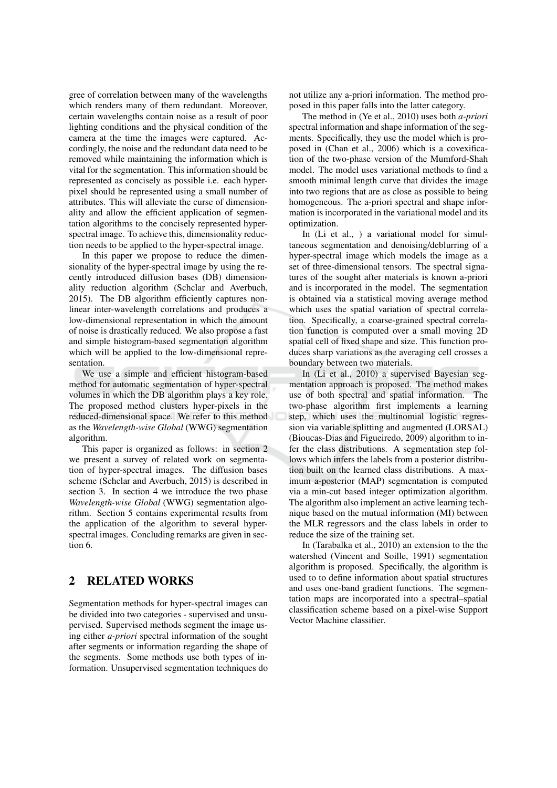gree of correlation between many of the wavelengths which renders many of them redundant. Moreover, certain wavelengths contain noise as a result of poor lighting conditions and the physical condition of the camera at the time the images were captured. Accordingly, the noise and the redundant data need to be removed while maintaining the information which is vital for the segmentation. This information should be represented as concisely as possible i.e. each hyperpixel should be represented using a small number of attributes. This will alleviate the curse of dimensionality and allow the efficient application of segmentation algorithms to the concisely represented hyperspectral image. To achieve this, dimensionality reduction needs to be applied to the hyper-spectral image.

In this paper we propose to reduce the dimensionality of the hyper-spectral image by using the recently introduced diffusion bases (DB) dimensionality reduction algorithm (Schclar and Averbuch, 2015). The DB algorithm efficiently captures nonlinear inter-wavelength correlations and produces a low-dimensional representation in which the amount of noise is drastically reduced. We also propose a fast and simple histogram-based segmentation algorithm which will be applied to the low-dimensional representation.

We use a simple and efficient histogram-based method for automatic segmentation of hyper-spectral volumes in which the DB algorithm plays a key role. The proposed method clusters hyper-pixels in the reduced-dimensional space. We refer to this method as the Wavelength-wise Global (WWG) segmentation algorithm.

This paper is organized as follows: in section 2 we present a survey of related work on segmentation of hyper-spectral images. The diffusion bases scheme (Schelar and Averbuch, 2015) is described in section 3. In section 4 we introduce the two phase Wavelength-wise Global (WWG) segmentation algorithm. Section 5 contains experimental results from the application of the algorithm to several hyperspectral images. Concluding remarks are given in section 6

#### $\overline{2}$ **RELATED WORKS**

Segmentation methods for hyper-spectral images can be divided into two categories - supervised and unsupervised. Supervised methods segment the image using either *a-priori* spectral information of the sought after segments or information regarding the shape of the segments. Some methods use both types of information. Unsupervised segmentation techniques do

not utilize any a-priori information. The method proposed in this paper falls into the latter category.

The method in (Ye et al., 2010) uses both *a-priori* spectral information and shape information of the segments. Specifically, they use the model which is proposed in (Chan et al., 2006) which is a covexification of the two-phase version of the Mumford-Shah model. The model uses variational methods to find a smooth minimal length curve that divides the image into two regions that are as close as possible to being homogeneous. The a-priori spectral and shape information is incorporated in the variational model and its optimization.

In (Li et al., ) a variational model for simultaneous segmentation and denoising/deblurring of a hyper-spectral image which models the image as a set of three-dimensional tensors. The spectral signatures of the sought after materials is known a-priori and is incorporated in the model. The segmentation is obtained via a statistical moving average method which uses the spatial variation of spectral correlation. Specifically, a coarse-grained spectral correlation function is computed over a small moving 2D spatial cell of fixed shape and size. This function produces sharp variations as the averaging cell crosses a boundary between two materials.

In (Li et al., 2010) a supervised Bayesian segmentation approach is proposed. The method makes use of both spectral and spatial information. The two-phase algorithm first implements a learning step, which uses the multinomial logistic regression via variable splitting and augmented (LORSAL) (Bioucas-Dias and Figueiredo, 2009) algorithm to infer the class distributions. A segmentation step follows which infers the labels from a posterior distribution built on the learned class distributions. A maximum a-posterior (MAP) segmentation is computed via a min-cut based integer optimization algorithm. The algorithm also implement an active learning technique based on the mutual information (MI) between the MLR regressors and the class labels in order to reduce the size of the training set.

In (Tarabalka et al., 2010) an extension to the the watershed (Vincent and Soille, 1991) segmentation algorithm is proposed. Specifically, the algorithm is used to to define information about spatial structures and uses one-band gradient functions. The segmentation maps are incorporated into a spectral-spatial classification scheme based on a pixel-wise Support Vector Machine classifier.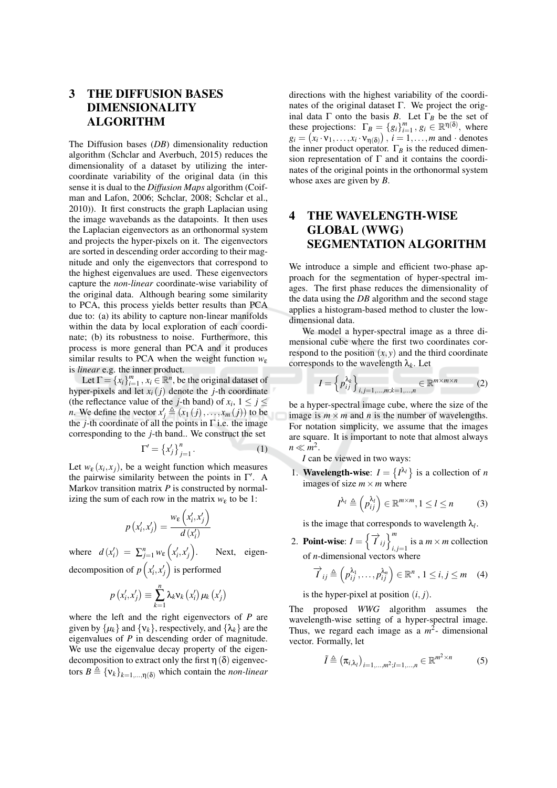## 3 **THE DIFFUSION BASES DIMENSIONALITY ALGORITHM**

The Diffusion bases  $(DB)$  dimensionality reduction algorithm (Schelar and Averbuch, 2015) reduces the dimensionality of a dataset by utilizing the intercoordinate variability of the original data (in this sense it is dual to the *Diffusion Maps* algorithm (Coifman and Lafon, 2006; Schclar, 2008; Schclar et al., 2010)). It first constructs the graph Laplacian using the image wavebands as the datapoints. It then uses the Laplacian eigenvectors as an orthonormal system and projects the hyper-pixels on it. The eigenvectors are sorted in descending order according to their magnitude and only the eigenvectors that correspond to the highest eigenvalues are used. These eigenvectors capture the *non-linear* coordinate-wise variability of the original data. Although bearing some similarity to PCA, this process yields better results than PCA due to: (a) its ability to capture non-linear manifolds within the data by local exploration of each coordinate; (b) its robustness to noise. Furthermore, this process is more general than PCA and it produces similar results to PCA when the weight function  $w_{\varepsilon}$ is *linear* e.g. the inner product.

Let  $\Gamma = \{x_i\}_{i=1}^m$ ,  $x_i \in \mathbb{R}^n$ , be the original dataset of hyper-pixels and let  $x_i(j)$  denote the *j*-th coordinate (the reflectance value of the *j*-th band) of  $x_i$ ,  $1 \le j \le$ *n*. We define the vector  $x'_j \triangleq (x_1(j),...,x_m(j))$  to be the *j*-th coordinate of all the points in  $\Gamma$  i.e. the image corresponding to the  $j$ -th band.. We construct the set

$$
\Gamma' = \left\{ x'_j \right\}_{j=1}^n. \tag{1}
$$

Let  $w_{\varepsilon}(x_i, x_i)$ , be a weight function which measures the pairwise similarity between the points in  $\Gamma'$ . A Markov transition matrix  $P$  is constructed by normalizing the sum of each row in the matrix  $w_{\varepsilon}$  to be 1:

$$
p(x'_i, x'_j) = \frac{w_{\varepsilon}(x'_i, x'_j)}{d(x'_i)}
$$

where  $d(x'_i) = \sum_{j=1}^n w_{\varepsilon} (x'_i, x'_j)$ . Next, eigendecomposition of  $p(x'_i, x'_j)$  is performed

$$
p\left(x'_{i},x'_{j}\right)\equiv\sum_{k=1}^{n}\lambda_{k}v_{k}\left(x'_{i}\right)\mu_{k}\left(x'_{j}\right)
$$

where the left and the right eigenvectors of  $P$  are given by  $\{\mu_k\}$  and  $\{v_k\}$ , respectively, and  $\{\lambda_k\}$  are the eigenvalues of  $P$  in descending order of magnitude. We use the eigenvalue decay property of the eigendecomposition to extract only the first  $\eta$  ( $\delta$ ) eigenvectors  $B \triangleq {\mathbf{v}_k}_{k=1,...,n(\delta)}$  which contain the *non-linear*  directions with the highest variability of the coordinates of the original dataset  $\Gamma$ . We project the original data  $\Gamma$  onto the basis B. Let  $\Gamma_B$  be the set of these projections:  $\Gamma_B = \{g_i\}_{i=1}^m$ ,  $g_i \in \mathbb{R}^{\eta(\delta)}$ , where  $g_i = (x_i \cdot v_1, \dots, x_i \cdot v_{n(\delta)})$ ,  $i = 1, \dots, m$  and  $\cdot$  denotes the inner product operator.  $\Gamma_B$  is the reduced dimension representation of  $\Gamma$  and it contains the coordinates of the original points in the orthonormal system whose axes are given by  $B$ .

### THE WAVELENGTH-WISE 4 **GLOBAL (WWG) SEGMENTATION ALGORITHM**

We introduce a simple and efficient two-phase approach for the segmentation of hyper-spectral images. The first phase reduces the dimensionality of the data using the DB algorithm and the second stage applies a histogram-based method to cluster the lowdimensional data.

We model a hyper-spectral image as a three dimensional cube where the first two coordinates correspond to the position  $(x, y)$  and the third coordinate corresponds to the wavelength  $\lambda_k$ . Let

$$
I = \left\{ p_{ij}^{\lambda_k} \right\}_{i,j=1,\dots,m;k=1,\dots,n} \in \mathbb{R}^{m \times m \times n} \tag{2}
$$

be a hyper-spectral image cube, where the size of the image is  $m \times m$  and *n* is the number of wavelengths. For notation simplicity, we assume that the images are square. It is important to note that almost always  $n \ll m^2$ .

I can be viewed in two ways:

**Wavelength-wise:**  $I = \{I^{\lambda_l}\}\$ is a collection of *n*  $1.$ images of size  $m \times m$  where

$$
I^{\lambda_l} \triangleq \left(p_{ij}^{\lambda_l}\right) \in \mathbb{R}^{m \times m}, 1 \leq l \leq n \tag{3}
$$

is the image that corresponds to wavelength  $\lambda_l$ .

2. **Point-wise:**  $I = \left\{ \overrightarrow{I}_{ij} \right\}_{i,j=1}^{m}$  is a  $m \times m$  collection<br>of *n*-dimensional vectors where

$$
\overrightarrow{I}_{ij} \triangleq \left(p_{ij}^{\lambda_1}, \dots, p_{ij}^{\lambda_n}\right) \in \mathbb{R}^n, 1 \le i, j \le m \quad (4)
$$

is the hyper-pixel at position  $(i, j)$ .

The proposed WWG algorithm assumes the wavelength-wise setting of a hyper-spectral image. Thus, we regard each image as a  $m^2$ - dimensional vector. Formally, let

$$
\tilde{I} \triangleq \left(\pi_{i,\lambda_i}\right)_{i=1,\dots,m^2; l=1,\dots,n} \in \mathbb{R}^{m^2 \times n} \tag{5}
$$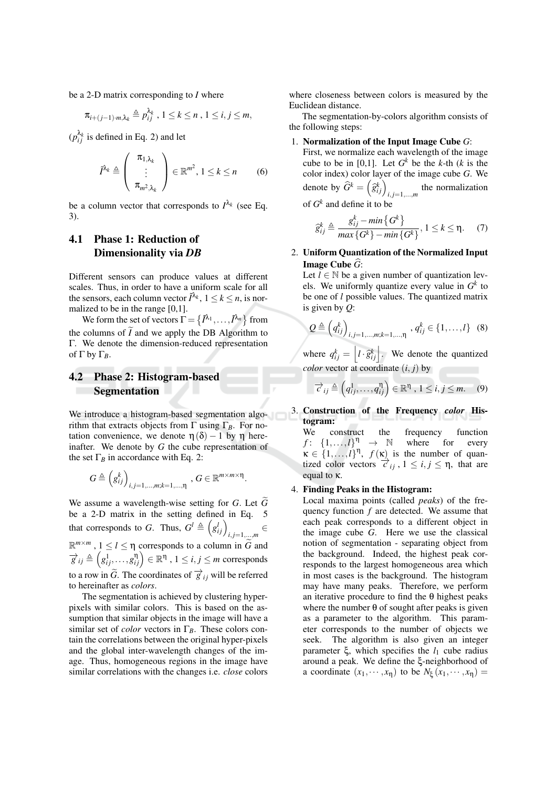be a 2-D matrix corresponding to  $I$  where

$$
\pi_{i+(j-1)\cdot m,\lambda_k} \triangleq p_{ij}^{\lambda_k}, 1 \leq k \leq n, 1 \leq i, j \leq m,
$$

 $(p_{ii}^{\lambda_k}$  is defined in Eq. 2) and let

$$
\tilde{I}^{\lambda_k} \triangleq \left( \begin{array}{c} \pi_{1,\lambda_k} \\ \vdots \\ \pi_{m^2,\lambda_k} \end{array} \right) \in \mathbb{R}^{m^2}, 1 \leq k \leq n \qquad (6)
$$

be a column vector that corresponds to  $I^{\lambda_k}$  (see Eq.  $3).$ 

#### 4.1 **Phase 1: Reduction of** Dimensionality via DB

Different sensors can produce values at different scales. Thus, in order to have a uniform scale for all the sensors, each column vector  $\tilde{l}^{\lambda_k}$ ,  $1 \leq k \leq n$ , is normalized to be in the range  $[0,1]$ .

We form the set of vectors  $\Gamma = \{ \tilde{I}^{\lambda_1}, \dots, \tilde{I}^{\lambda_n} \}$  from the columns of  $\tilde{I}$  and we apply the DB Algorithm to  $\Gamma$ . We denote the dimension-reduced representation of  $\Gamma$  by  $\Gamma_R$ .

#### $4.2$ **Phase 2: Histogram-based Segmentation**

We introduce a histogram-based segmentation algorithm that extracts objects from  $\Gamma$  using  $\Gamma_B$ . For notation convenience, we denote  $\eta(\delta) - 1$  by  $\eta$  hereinafter. We denote by  $G$  the cube representation of the set  $\Gamma_B$  in accordance with Eq. 2:

$$
G \triangleq \left(g_{ij}^k\right)_{i,j=1,\dots,m;k=1,\dots,\eta}, G \in \mathbb{R}^{m \times m \times \eta}
$$

We assume a wavelength-wise setting for  $G$ . Let  $G$ be a 2-D matrix in the setting defined in Eq. 5 that corresponds to G. Thus,  $G^l \triangleq (g_{ij}^l)_{i,j=1,...,m}$  $\mathbb{R}^{m \times m}$ ,  $1 \leq l \leq \eta$  corresponds to a column in  $\tilde{G}$  and  $\overrightarrow{g}_{ij} \triangleq (g_{ij}^1, \ldots, g_{ij}^{\eta}) \in \mathbb{R}^{\eta}$ ,  $1 \le i, j \le m$  corresponds to a row in  $\tilde{G}$ . The coordinates of  $\overrightarrow{g}_{ij}$  will be referred to hereinafter as colors.

The segmentation is achieved by clustering hyperpixels with similar colors. This is based on the assumption that similar objects in the image will have a similar set of *color* vectors in  $\Gamma_B$ . These colors contain the correlations between the original hyper-pixels and the global inter-wavelength changes of the image. Thus, homogeneous regions in the image have similar correlations with the changes *i.e. close* colors where closeness between colors is measured by the Euclidean distance.

The segmentation-by-colors algorithm consists of the following steps:

### 1. Normalization of the Input Image Cube  $G$ :

First, we normalize each wavelength of the image cube to be in [0,1]. Let  $G^k$  be the k-th (k is the color index) color layer of the image cube  $G$ . We denote by  $\widehat{G}^k = \left(\widehat{g}_{ij}^k\right)_{i,j=1,\dots,m}$  the normalization of  $G<sup>k</sup>$  and define it to be

$$
\widehat{g}_{ij}^k \triangleq \frac{g_{ij}^k - \min\{G^k\}}{\max\{G^k\} - \min\{G^k\}}, 1 \le k \le \eta. \tag{7}
$$

2. Uniform Quantization of the Normalized Input **Image Cube**  $\widehat{G}$ :

Let  $l \in \mathbb{N}$  be a given number of quantization levels. We uniformly quantize every value in  $G^k$  to be one of  $l$  possible values. The quantized matrix is given by  $Q$ :

$$
Q \triangleq (q_{ij}^k)_{i,j=1,...,m;k=1,...,\eta}, q_{ij}^k \in \{1,...,l\} \quad (8)
$$

where  $q_{ij}^k = \left[ l \cdot \hat{g}_{ij}^k \right]$ . We denote the quantized *color* vector at coordinate  $(i, j)$  by

$$
\overrightarrow{c}_{ij} \triangleq \left(q_{ij}^1, \ldots, q_{ij}^{\eta}\right) \in \mathbb{R}^{\eta}, 1 \le i, j \le m. \quad (9)
$$

3. Construction of the Frequency color Histogram:

construct the We frequency function  $f: \{1,\ldots,l\}^{\eta} \rightarrow \mathbb{N}$ where for every  $\kappa \in \{1,\ldots,l\}^{\eta}$ ,  $f(\kappa)$  is the number of quantized color vectors  $\vec{c}_{ij}$ ,  $1 \le i, j \le \eta$ , that are equal to  $\kappa$ .

## 4. Finding Peaks in the Histogram:

Local maxima points (called *peaks*) of the frequency function  $f$  are detected. We assume that each peak corresponds to a different object in the image cube G. Here we use the classical notion of segmentation - separating object from the background. Indeed, the highest peak corresponds to the largest homogeneous area which in most cases is the background. The histogram may have many peaks. Therefore, we perform an iterative procedure to find the  $\theta$  highest peaks where the number  $\theta$  of sought after peaks is given as a parameter to the algorithm. This parameter corresponds to the number of objects we seek. The algorithm is also given an integer parameter  $\xi$ , which specifies the  $l_1$  cube radius around a peak. We define the  $\xi$ -neighborhood of a coordinate  $(x_1, \dots, x_n)$  to be  $N_{\xi}(x_1, \dots, x_n)$  =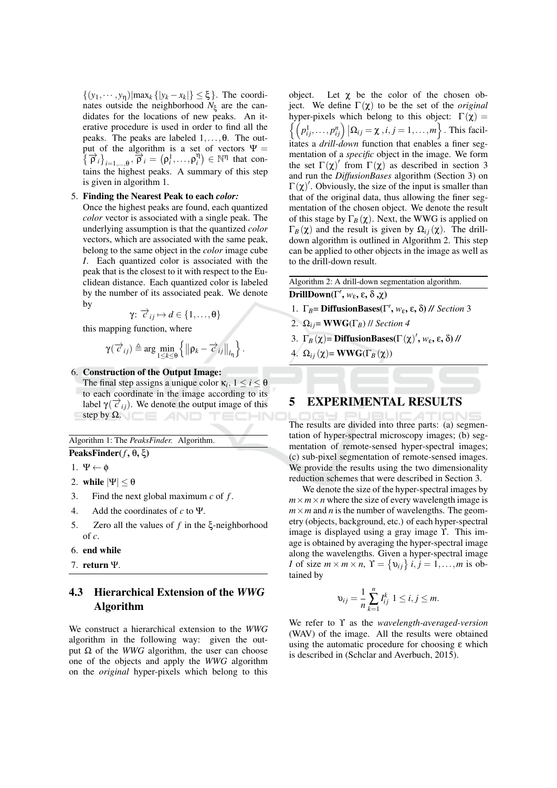$\{(y_1,\dots,y_n)|\max_k\{|y_k-x_k|\}\leq \xi\}$ . The coordinates outside the neighborhood  $N_{\xi}$  are the candidates for the locations of new peaks. An iterative procedure is used in order to find all the peaks. The peaks are labeled  $1, \ldots, \theta$ . The output of the algorithm is a set of vectors  $\Psi =$  $\{\vec{\rho}_i\}_{i=1,\dots,\theta}$ ,  $\vec{\rho}_i = (\rho_i^1, \dots, \rho_i^n) \in \mathbb{N}^n$  that contains the highest peaks. A summary of this step is given in algorithm 1.

### 5. Finding the Nearest Peak to each color:

Once the highest peaks are found, each quantized *color* vector is associated with a single peak. The underlying assumption is that the quantized color vectors, which are associated with the same peak, belong to the same object in the *color* image cube I. Each quantized color is associated with the peak that is the closest to it with respect to the Euclidean distance. Each quantized color is labeled by the number of its associated peak. We denote by

$$
\gamma: \overrightarrow{c}_{ij} \mapsto d \in \{1, \ldots, \theta\}
$$

this mapping function, where

$$
\gamma(\overrightarrow{c}_{ij}) \triangleq \arg \min_{1 \leq k \leq \theta} \left\{ \left\| \rho_k - \overrightarrow{c}_{ij} \right\|_{l_{\eta}} \right\}.
$$

6. Construction of the Output Image:

The final step assigns a unique color  $\kappa_i$ ,  $1 \le i \le \theta$ to each coordinate in the image according to its label  $\gamma(\vec{c}_{ij})$ . We denote the output image of this step by  $\Omega$ .

Algorithm 1: The PeaksFinder. Algorithm.

PeaksFinder( $f$ ,  $\theta$ ,  $\xi$ )

```
1. \Psi \leftarrow \phi
```
- 2. while  $|\Psi| < \theta$
- 3. Find the next global maximum  $c$  of  $f$ .
- $\overline{4}$ . Add the coordinates of  $c$  to  $\Psi$ .
- 5. Zero all the values of  $f$  in the  $\xi$ -neighborhood of  $c$ .
- 6. end while
- 7. return  $\Psi$ .

### 4.3 **Hierarchical Extension of the WWG** Algorithm

We construct a hierarchical extension to the WWG algorithm in the following way: given the output  $\Omega$  of the WWG algorithm, the user can choose one of the objects and apply the WWG algorithm on the *original* hyper-pixels which belong to this object. Let  $\chi$  be the color of the chosen object. We define  $\Gamma(\chi)$  to be the set of the *original* hyper-pixels which belong to this object:  $\Gamma(\chi) =$  $\left\{ \left( p_{ij}^1, \ldots, p_{ij}^n \right) \big| \Omega_{ij} = \chi \right. , i, j = 1, \ldots, m \right\}$ . This facilitates a drill-down function that enables a finer segmentation of a *specific* object in the image. We form the set  $\Gamma(\chi)'$  from  $\Gamma(\chi)$  as described in section 3 and run the DiffusionBases algorithm (Section 3) on  $\Gamma(\chi)'$ . Obviously, the size of the input is smaller than that of the original data, thus allowing the finer segmentation of the chosen object. We denote the result of this stage by  $\Gamma_B(\chi)$ . Next, the WWG is applied on  $\Gamma_B(\chi)$  and the result is given by  $\Omega_{ij}(\chi)$ . The drilldown algorithm is outlined in Algorithm 2. This step can be applied to other objects in the image as well as to the drill-down result.

Algorithm 2: A drill-down segmentation algorithm. DrillDown( $\Gamma'$ ,  $w_{\varepsilon}$ ,  $\varepsilon$ ,  $\delta$ , $\chi$ )

- 1.  $\Gamma_B$ = DiffusionBases( $\Gamma'$ ,  $w_{\varepsilon}$ ,  $\varepsilon$ ,  $\delta$ ) // Section 3
- 2.  $\Omega_{ij}$  = WWG( $\Gamma_B$ ) // Section 4
- 3.  $\Gamma_B(\chi)$  = DiffusionBases( $\Gamma(\chi)'$ ,  $w_{\varepsilon}$ ,  $\varepsilon$ ,  $\delta$ ) //
- 4.  $\Omega_{ij}(\chi)$  = WWG( $\Gamma_B(\chi)$ )

#### **EXPERIMENTAL RESULTS** 5

The results are divided into three parts: (a) segmentation of hyper-spectral microscopy images; (b) segmentation of remote-sensed hyper-spectral images: (c) sub-pixel segmentation of remote-sensed images. We provide the results using the two dimensionality reduction schemes that were described in Section 3.

We denote the size of the hyper-spectral images by  $m \times m \times n$  where the size of every wavelength image is  $m \times m$  and *n* is the number of wavelengths. The geometry (objects, background, etc.) of each hyper-spectral image is displayed using a gray image Y. This image is obtained by averaging the hyper-spectral image along the wavelengths. Given a hyper-spectral image *I* of size  $m \times m \times n$ ,  $\Upsilon = \{v_{ij}\}\$ *i*,  $j = 1,...,m$  is obtained by

$$
v_{ij} = \frac{1}{n} \sum_{k=1}^{n} I_{ij}^{k} \; 1 \leq i, j \leq m.
$$

We refer to  $\Upsilon$  as the wavelength-averaged-version (WAV) of the image. All the results were obtained using the automatic procedure for choosing  $\varepsilon$  which is described in (Schclar and Averbuch, 2015).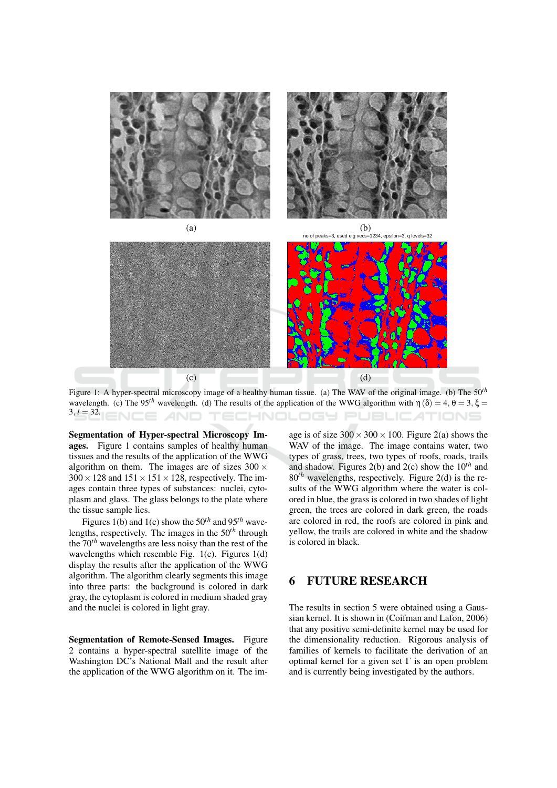



Figure 1: A hyper-spectral microscopy image of a healthy human tissue. (a) The WAV of the original image. (b) The  $50<sup>th</sup>$ wavelength. (c) The 95<sup>th</sup> wavelength. (d) The results of the application of the WWG algorithm with  $\eta(\delta) = 4, \theta = 3, \xi =$  $3, l = 32.$ HNOLOGY PI **IRLIC** ATIONS

Segmentation of Hyper-spectral Microscopy Images. Figure 1 contains samples of healthy human tissues and the results of the application of the WWG algorithm on them. The images are of sizes  $300 \times$  $300 \times 128$  and  $151 \times 151 \times 128$ , respectively. The images contain three types of substances: nuclei, cytoplasm and glass. The glass belongs to the plate where the tissue sample lies.

Figures 1(b) and 1(c) show the  $50^{th}$  and  $95^{th}$  wavelengths, respectively. The images in the  $50<sup>th</sup>$  through the  $70<sup>th</sup>$  wavelengths are less noisy than the rest of the wavelengths which resemble Fig.  $1(c)$ . Figures  $1(d)$ display the results after the application of the WWG algorithm. The algorithm clearly segments this image into three parts: the background is colored in dark gray, the cytoplasm is colored in medium shaded grav and the nuclei is colored in light gray.

Segmentation of Remote-Sensed Images. Figure 2 contains a hyper-spectral satellite image of the Washington DC's National Mall and the result after the application of the WWG algorithm on it. The im-

age is of size  $300 \times 300 \times 100$ . Figure 2(a) shows the WAV of the image. The image contains water, two types of grass, trees, two types of roofs, roads, trails and shadow. Figures 2(b) and 2(c) show the  $10^{th}$  and  $80<sup>th</sup>$  wavelengths, respectively. Figure 2(d) is the results of the WWG algorithm where the water is colored in blue, the grass is colored in two shades of light green, the trees are colored in dark green, the roads are colored in red, the roofs are colored in pink and yellow, the trails are colored in white and the shadow is colored in black.

#### **FUTURE RESEARCH** 6

The results in section 5 were obtained using a Gaussian kernel. It is shown in (Coifman and Lafon, 2006) that any positive semi-definite kernel may be used for the dimensionality reduction. Rigorous analysis of families of kernels to facilitate the derivation of an optimal kernel for a given set  $\Gamma$  is an open problem and is currently being investigated by the authors.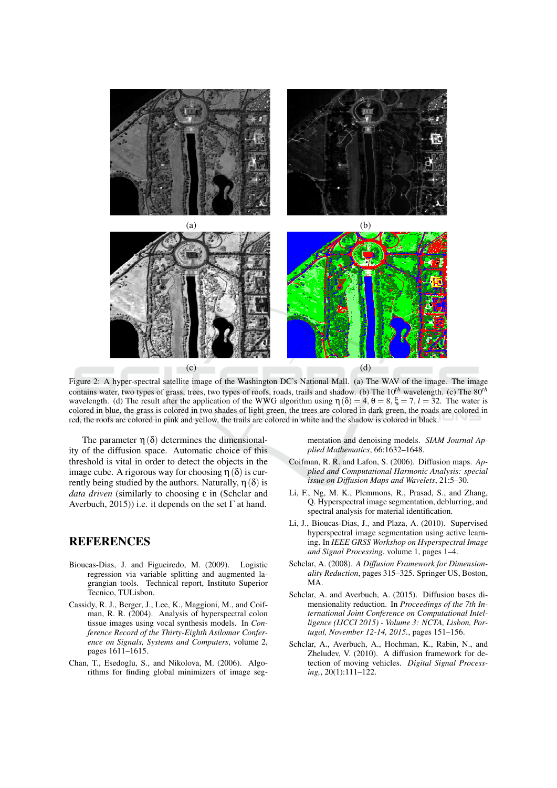

Figure 2: A hyper-spectral satellite image of the Washington DC's National Mall. (a) The WAV of the image. The image contains water, two types of grass, trees, two types of roofs, roads, trails and shadow. (b) The  $10^{th}$  wavelength. (c) The  $80^{th}$ wavelength. (d) The result after the application of the WWG algorithm using  $\eta(\delta) = 4$ ,  $\theta = 8$ ,  $\xi = 7$ ,  $l = 32$ . The water is colored in blue, the grass is colored in two shades of light green, the trees are colored in dark green, the roads are colored in red, the roofs are colored in pink and yellow, the trails are colored in white and the shadow is colored in black.

The parameter  $\eta(\delta)$  determines the dimensionality of the diffusion space. Automatic choice of this threshold is vital in order to detect the objects in the image cube. A rigorous way for choosing  $\eta(\delta)$  is currently being studied by the authors. Naturally,  $\eta(\delta)$  is *data driven* (similarly to choosing  $\varepsilon$  in (Schelar and Averbuch, 2015)) i.e. it depends on the set  $\Gamma$  at hand.

# **REFERENCES**

- Bioucas-Dias, J. and Figueiredo, M. (2009). Logistic regression via variable splitting and augmented lagrangian tools. Technical report, Instituto Superior Tecnico, TULisbon.
- Cassidy, R. J., Berger, J., Lee, K., Maggioni, M., and Coifman, R. R. (2004). Analysis of hyperspectral colon tissue images using vocal synthesis models. In Conference Record of the Thirty-Eighth Asilomar Conference on Signals, Systems and Computers, volume 2, pages 1611-1615.
- Chan, T., Esedoglu, S., and Nikolova, M. (2006). Algorithms for finding global minimizers of image seg-

mentation and denoising models. SIAM Journal Applied Mathematics, 66:1632-1648.

- Coifman, R. R. and Lafon, S. (2006). Diffusion maps. Applied and Computational Harmonic Analysis: special issue on Diffusion Maps and Wavelets, 21:5-30.
- Li, F., Ng, M. K., Plemmons, R., Prasad, S., and Zhang, O. Hyperspectral image segmentation, deblurring, and spectral analysis for material identification.
- Li, J., Bioucas-Dias, J., and Plaza, A. (2010). Supervised hyperspectral image segmentation using active learning. In IEEE GRSS Workshop on Hyperspectral Image and Signal Processing, volume 1, pages 1-4.
- Schclar, A. (2008). A Diffusion Framework for Dimensionality Reduction, pages 315-325. Springer US, Boston, MA.
- Schelar, A. and Averbuch, A. (2015). Diffusion bases dimensionality reduction. In Proceedings of the 7th International Joint Conference on Computational Intelligence (IJCCI 2015) - Volume 3: NCTA, Lisbon, Portugal, November 12-14, 2015., pages 151-156.
- Schclar, A., Averbuch, A., Hochman, K., Rabin, N., and Zheludev, V. (2010). A diffusion framework for detection of moving vehicles. Digital Signal Process $ing, 20(1): 111-122.$